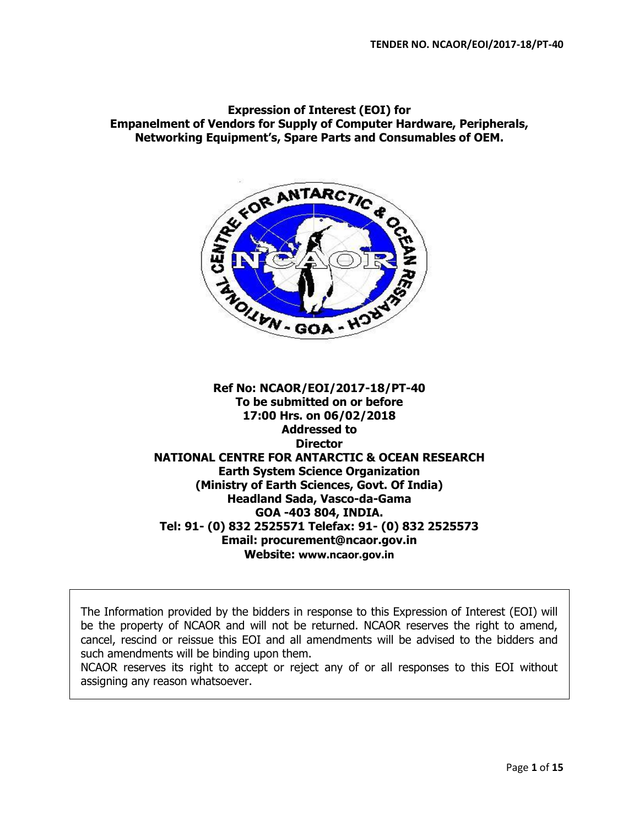**Expression of Interest (EOI) for Empanelment of Vendors for Supply of Computer Hardware, Peripherals, Networking Equipment's, Spare Parts and Consumables of OEM.**



**Ref No: NCAOR/EOI/2017-18/PT-40 To be submitted on or before 17:00 Hrs. on 06/02/2018 Addressed to Director NATIONAL CENTRE FOR ANTARCTIC & OCEAN RESEARCH Earth System Science Organization (Ministry of Earth Sciences, Govt. Of India) Headland Sada, Vasco-da-Gama GOA -403 804, INDIA. Tel: 91- (0) 832 2525571 Telefax: 91- (0) 832 2525573 Email: procurement@ncaor.gov.in Website: [www.ncaor.gov.in](http://www.ncaor.gov.in/)** 

The Information provided by the bidders in response to this Expression of Interest (EOI) will be the property of NCAOR and will not be returned. NCAOR reserves the right to amend, cancel, rescind or reissue this EOI and all amendments will be advised to the bidders and such amendments will be binding upon them.

NCAOR reserves its right to accept or reject any of or all responses to this EOI without assigning any reason whatsoever.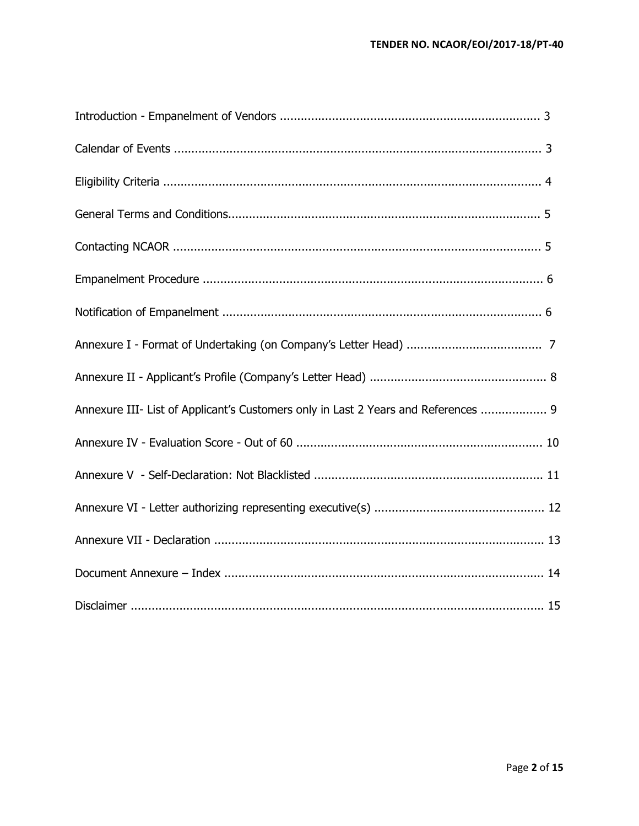| Annexure III- List of Applicant's Customers only in Last 2 Years and References  9 |  |
|------------------------------------------------------------------------------------|--|
|                                                                                    |  |
|                                                                                    |  |
|                                                                                    |  |
|                                                                                    |  |
|                                                                                    |  |
|                                                                                    |  |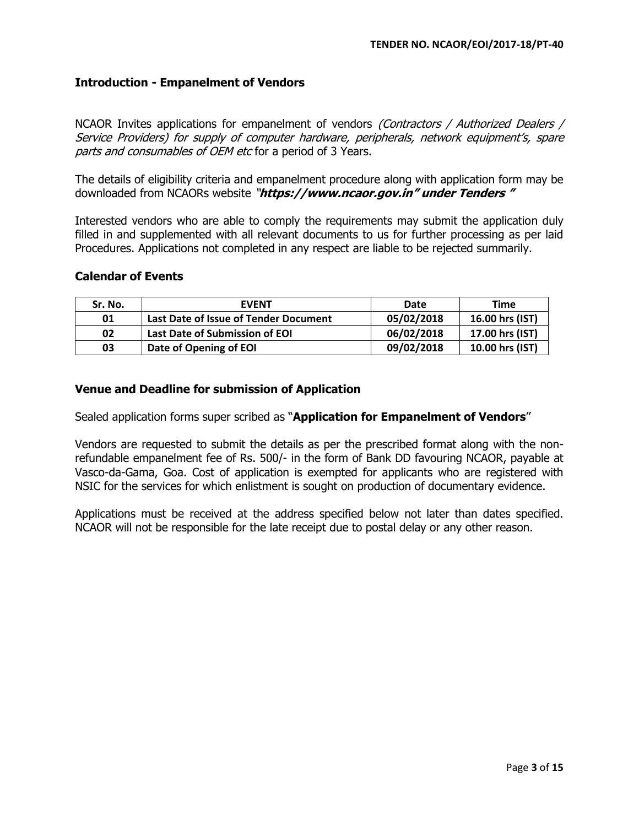### **Introduction - Empanelment of Vendors**

NCAOR Invites applications for empanelment of vendors *(Contractors / Authorized Dealers /* Service Providers) for supply of computer hardware, peripherals, network equipment's, spare parts and consumables of OEM etc for a period of 3 Years.

The details of eligibility criteria and empanelment procedure along with application form may be downloaded from NCAORs website "**https://www.ncaor.gov.in" under Tenders "**

Interested vendors who are able to comply the requirements may submit the application duly filled in and supplemented with all relevant documents to us for further processing as per laid Procedures. Applications not completed in any respect are liable to be rejected summarily.

#### **Calendar of Events**

| Sr. No. | <b>EVENT</b>                          | Date       | Time            |
|---------|---------------------------------------|------------|-----------------|
| 01      | Last Date of Issue of Tender Document | 05/02/2018 | 16.00 hrs (IST) |
| 02      | Last Date of Submission of EOI        | 06/02/2018 | 17.00 hrs (IST) |
| 03      | Date of Opening of EOI                | 09/02/2018 | 10.00 hrs (IST) |

#### **Venue and Deadline for submission of Application**

Sealed application forms super scribed as "**Application for Empanelment of Vendors**''

Vendors are requested to submit the details as per the prescribed format along with the nonrefundable empanelment fee of Rs. 500/- in the form of Bank DD favouring NCAOR, payable at Vasco-da-Gama, Goa. Cost of application is exempted for applicants who are registered with NSIC for the services for which enlistment is sought on production of documentary evidence.

Applications must be received at the address specified below not later than dates specified. NCAOR will not be responsible for the late receipt due to postal delay or any other reason.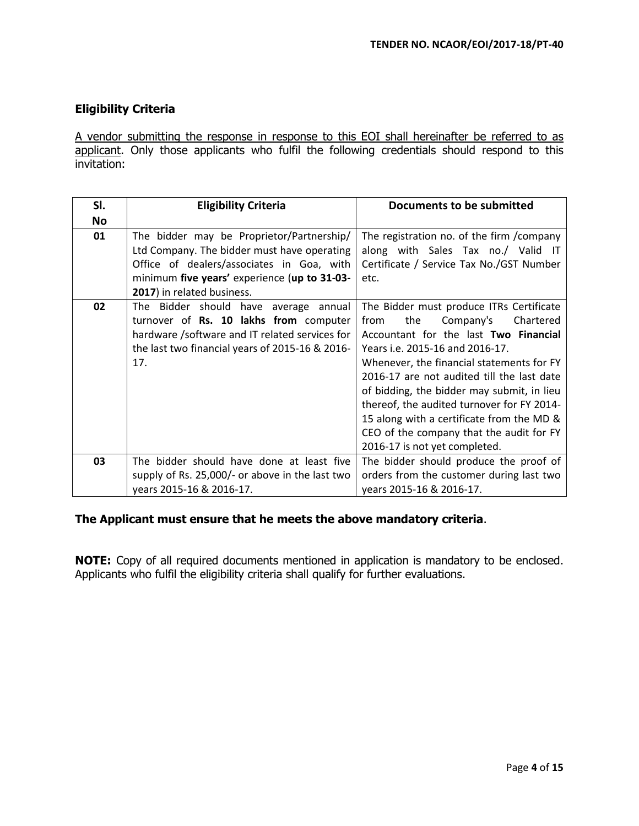## **Eligibility Criteria**

A vendor submitting the response in response to this EOI shall hereinafter be referred to as applicant. Only those applicants who fulfil the following credentials should respond to this invitation:

| SI.       | <b>Eligibility Criteria</b>                     | <b>Documents to be submitted</b>           |  |  |
|-----------|-------------------------------------------------|--------------------------------------------|--|--|
| <b>No</b> |                                                 |                                            |  |  |
| 01        | The bidder may be Proprietor/Partnership/       | The registration no. of the firm / company |  |  |
|           | Ltd Company. The bidder must have operating     | along with Sales Tax no./ Valid IT         |  |  |
|           | Office of dealers/associates in Goa, with       | Certificate / Service Tax No./GST Number   |  |  |
|           | minimum five years' experience (up to 31-03-    | etc.                                       |  |  |
|           | 2017) in related business.                      |                                            |  |  |
| 02        | The Bidder should have average annual           | The Bidder must produce ITRs Certificate   |  |  |
|           | turnover of Rs. 10 lakhs from computer          | the<br>Company's<br>Chartered<br>from      |  |  |
|           | hardware /software and IT related services for  | Accountant for the last Two Financial      |  |  |
|           | the last two financial years of 2015-16 & 2016- | Years i.e. 2015-16 and 2016-17.            |  |  |
|           | 17.                                             | Whenever, the financial statements for FY  |  |  |
|           |                                                 | 2016-17 are not audited till the last date |  |  |
|           |                                                 | of bidding, the bidder may submit, in lieu |  |  |
|           |                                                 | thereof, the audited turnover for FY 2014- |  |  |
|           |                                                 | 15 along with a certificate from the MD &  |  |  |
|           |                                                 | CEO of the company that the audit for FY   |  |  |
|           |                                                 | 2016-17 is not yet completed.              |  |  |
| 03        | The bidder should have done at least five       | The bidder should produce the proof of     |  |  |
|           | supply of Rs. 25,000/- or above in the last two | orders from the customer during last two   |  |  |
|           | years 2015-16 & 2016-17.                        | years 2015-16 & 2016-17.                   |  |  |

### **The Applicant must ensure that he meets the above mandatory criteria**.

**NOTE:** Copy of all required documents mentioned in application is mandatory to be enclosed. Applicants who fulfil the eligibility criteria shall qualify for further evaluations.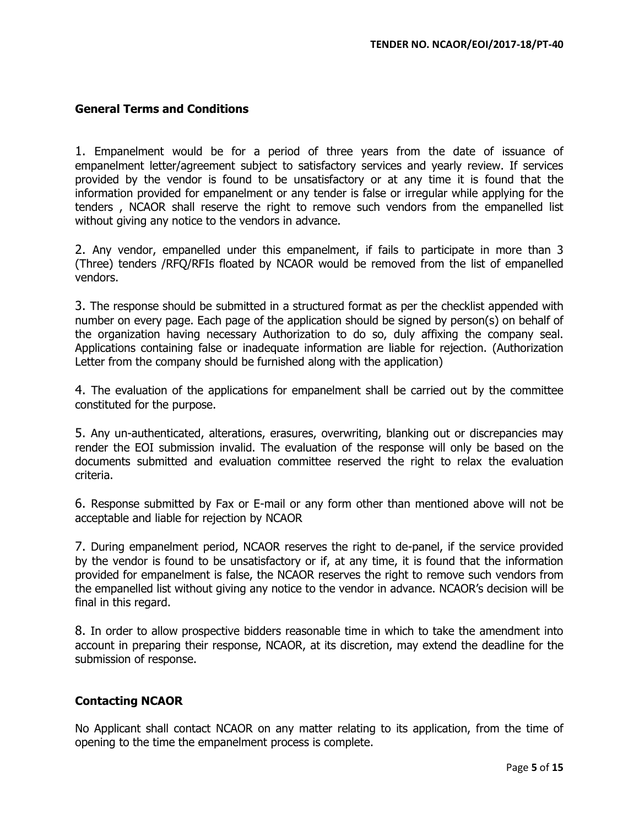### **General Terms and Conditions**

1. Empanelment would be for a period of three years from the date of issuance of empanelment letter/agreement subject to satisfactory services and yearly review. If services provided by the vendor is found to be unsatisfactory or at any time it is found that the information provided for empanelment or any tender is false or irregular while applying for the tenders , NCAOR shall reserve the right to remove such vendors from the empanelled list without giving any notice to the vendors in advance.

2. Any vendor, empanelled under this empanelment, if fails to participate in more than 3 (Three) tenders /RFQ/RFIs floated by NCAOR would be removed from the list of empanelled vendors.

3. The response should be submitted in a structured format as per the checklist appended with number on every page. Each page of the application should be signed by person(s) on behalf of the organization having necessary Authorization to do so, duly affixing the company seal. Applications containing false or inadequate information are liable for rejection. (Authorization Letter from the company should be furnished along with the application)

4. The evaluation of the applications for empanelment shall be carried out by the committee constituted for the purpose.

5. Any un-authenticated, alterations, erasures, overwriting, blanking out or discrepancies may render the EOI submission invalid. The evaluation of the response will only be based on the documents submitted and evaluation committee reserved the right to relax the evaluation criteria.

6. Response submitted by Fax or E-mail or any form other than mentioned above will not be acceptable and liable for rejection by NCAOR

7. During empanelment period, NCAOR reserves the right to de-panel, if the service provided by the vendor is found to be unsatisfactory or if, at any time, it is found that the information provided for empanelment is false, the NCAOR reserves the right to remove such vendors from the empanelled list without giving any notice to the vendor in advance. NCAOR's decision will be final in this regard.

8. In order to allow prospective bidders reasonable time in which to take the amendment into account in preparing their response, NCAOR, at its discretion, may extend the deadline for the submission of response.

### **Contacting NCAOR**

No Applicant shall contact NCAOR on any matter relating to its application, from the time of opening to the time the empanelment process is complete.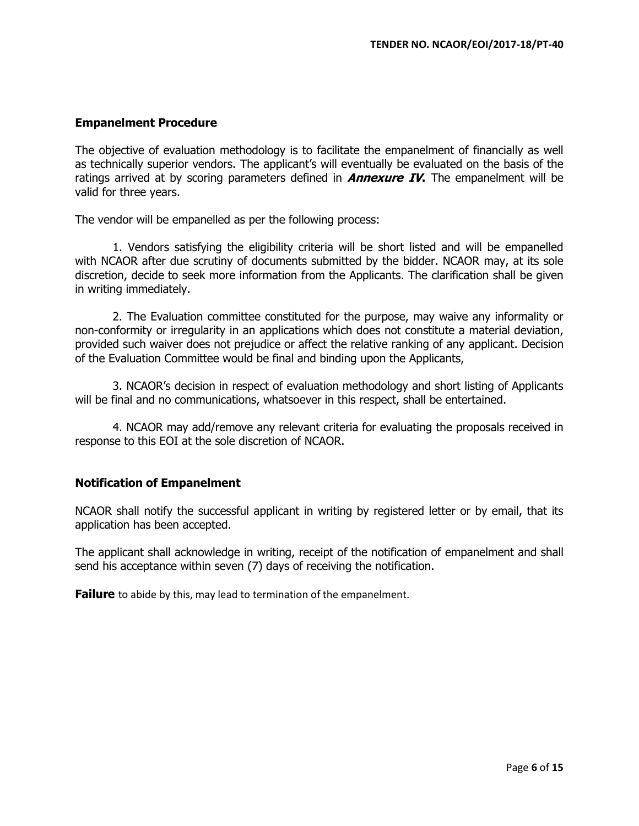### **Empanelment Procedure**

The objective of evaluation methodology is to facilitate the empanelment of financially as well as technically superior vendors. The applicant's will eventually be evaluated on the basis of the ratings arrived at by scoring parameters defined in **Annexure IV.** The empanelment will be valid for three years.

The vendor will be empanelled as per the following process:

1. Vendors satisfying the eligibility criteria will be short listed and will be empanelled with NCAOR after due scrutiny of documents submitted by the bidder. NCAOR may, at its sole discretion, decide to seek more information from the Applicants. The clarification shall be given in writing immediately.

2. The Evaluation committee constituted for the purpose, may waive any informality or non-conformity or irregularity in an applications which does not constitute a material deviation, provided such waiver does not prejudice or affect the relative ranking of any applicant. Decision of the Evaluation Committee would be final and binding upon the Applicants,

3. NCAOR's decision in respect of evaluation methodology and short listing of Applicants will be final and no communications, whatsoever in this respect, shall be entertained.

4. NCAOR may add/remove any relevant criteria for evaluating the proposals received in response to this EOI at the sole discretion of NCAOR.

### **Notification of Empanelment**

NCAOR shall notify the successful applicant in writing by registered letter or by email, that its application has been accepted.

The applicant shall acknowledge in writing, receipt of the notification of empanelment and shall send his acceptance within seven (7) days of receiving the notification.

**Failure** to abide by this, may lead to termination of the empanelment.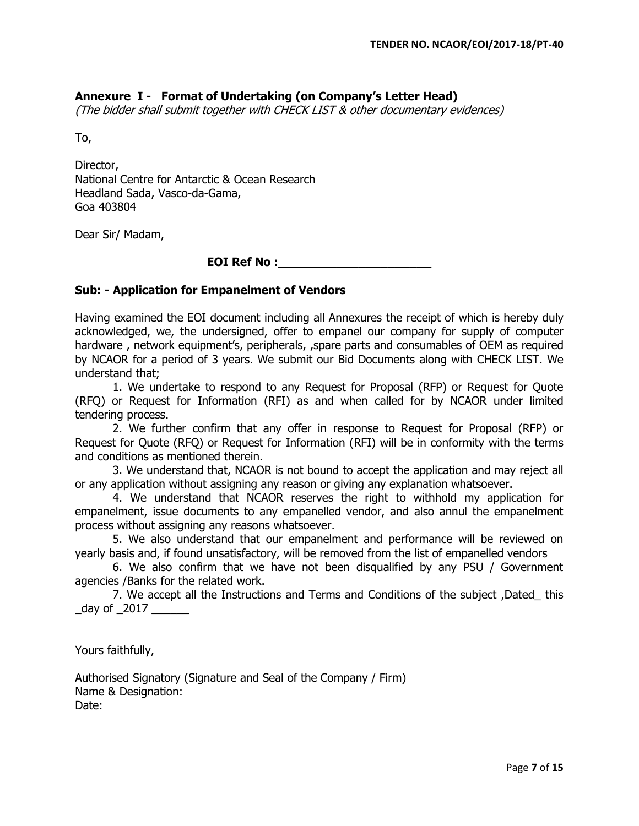## **Annexure I - Format of Undertaking (on Company's Letter Head)**

(The bidder shall submit together with CHECK LIST & other documentary evidences)

To,

Director, National Centre for Antarctic & Ocean Research Headland Sada, Vasco-da-Gama, Goa 403804

Dear Sir/ Madam,

## **EOI Ref No :\_\_\_\_\_\_\_\_\_\_\_\_\_\_\_\_\_\_\_\_\_**

#### **Sub: - Application for Empanelment of Vendors**

Having examined the EOI document including all Annexures the receipt of which is hereby duly acknowledged, we, the undersigned, offer to empanel our company for supply of computer hardware, network equipment's, peripherals, spare parts and consumables of OEM as required by NCAOR for a period of 3 years. We submit our Bid Documents along with CHECK LIST. We understand that;

1. We undertake to respond to any Request for Proposal (RFP) or Request for Quote (RFQ) or Request for Information (RFI) as and when called for by NCAOR under limited tendering process.

2. We further confirm that any offer in response to Request for Proposal (RFP) or Request for Quote (RFQ) or Request for Information (RFI) will be in conformity with the terms and conditions as mentioned therein.

3. We understand that, NCAOR is not bound to accept the application and may reject all or any application without assigning any reason or giving any explanation whatsoever.

4. We understand that NCAOR reserves the right to withhold my application for empanelment, issue documents to any empanelled vendor, and also annul the empanelment process without assigning any reasons whatsoever.

5. We also understand that our empanelment and performance will be reviewed on yearly basis and, if found unsatisfactory, will be removed from the list of empanelled vendors

6. We also confirm that we have not been disqualified by any PSU / Government agencies /Banks for the related work.

7. We accept all the Instructions and Terms and Conditions of the subject ,Dated\_ this day of 2017

Yours faithfully,

Authorised Signatory (Signature and Seal of the Company / Firm) Name & Designation: Date: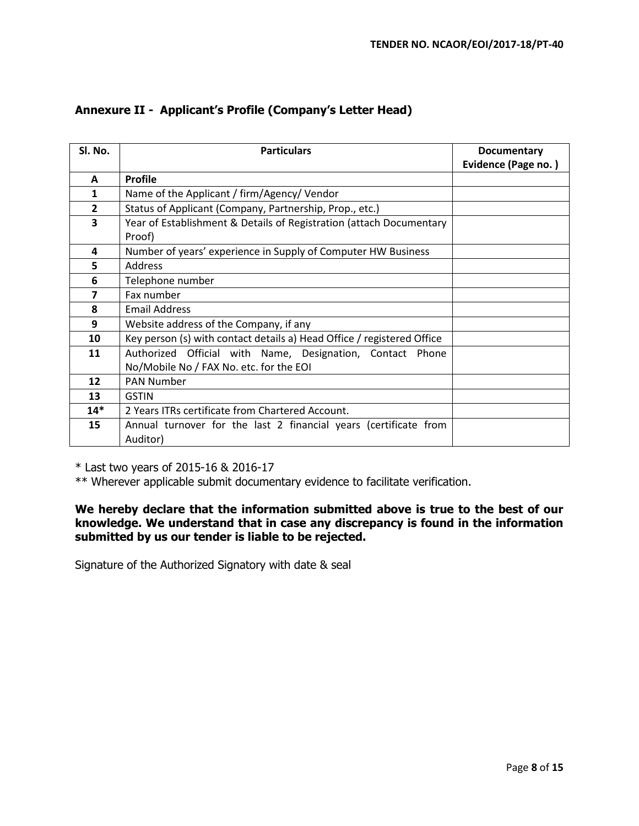| Sl. No.        | <b>Particulars</b>                                                     | <b>Documentary</b>  |
|----------------|------------------------------------------------------------------------|---------------------|
|                |                                                                        | Evidence (Page no.) |
| A              | <b>Profile</b>                                                         |                     |
| $\mathbf{1}$   | Name of the Applicant / firm/Agency/ Vendor                            |                     |
| $\overline{2}$ | Status of Applicant (Company, Partnership, Prop., etc.)                |                     |
| $\mathbf{3}$   | Year of Establishment & Details of Registration (attach Documentary    |                     |
|                | Proof)                                                                 |                     |
| 4              | Number of years' experience in Supply of Computer HW Business          |                     |
| 5              | <b>Address</b>                                                         |                     |
| 6              | Telephone number                                                       |                     |
| 7              | Fax number                                                             |                     |
| 8              | <b>Email Address</b>                                                   |                     |
| 9              | Website address of the Company, if any                                 |                     |
| 10             | Key person (s) with contact details a) Head Office / registered Office |                     |
| 11             | Authorized Official with Name, Designation, Contact Phone              |                     |
|                | No/Mobile No / FAX No. etc. for the EOI                                |                     |
| 12             | <b>PAN Number</b>                                                      |                     |
| 13             | <b>GSTIN</b>                                                           |                     |
| $14*$          | 2 Years ITRs certificate from Chartered Account.                       |                     |
| 15             | Annual turnover for the last 2 financial years (certificate from       |                     |
|                | Auditor)                                                               |                     |

# **Annexure II - Applicant's Profile (Company's Letter Head)**

\* Last two years of 2015-16 & 2016-17

\*\* Wherever applicable submit documentary evidence to facilitate verification.

## **We hereby declare that the information submitted above is true to the best of our knowledge. We understand that in case any discrepancy is found in the information submitted by us our tender is liable to be rejected.**

Signature of the Authorized Signatory with date & seal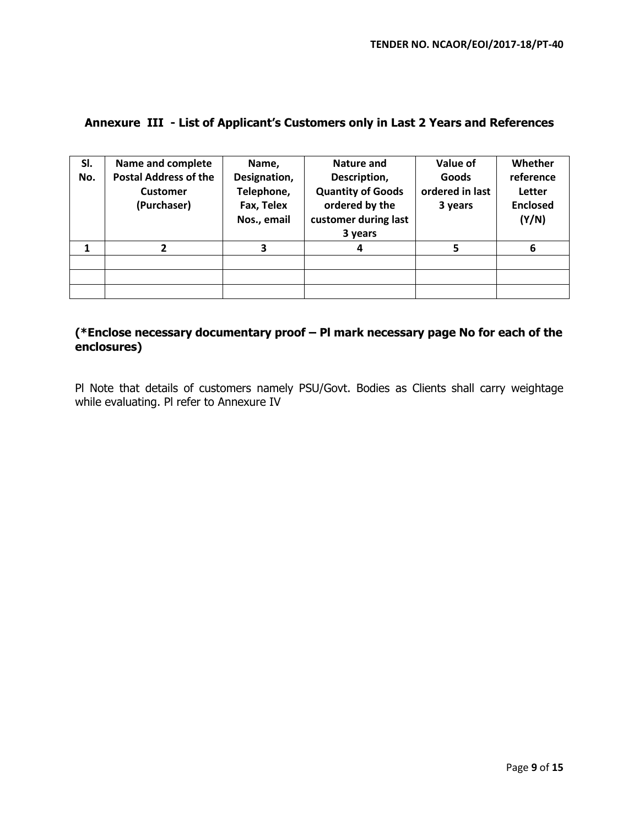# **Annexure III - List of Applicant's Customers only in Last 2 Years and References**

| SI. | Name and complete            | Name,        | <b>Nature and</b>        | Value of        | Whether         |
|-----|------------------------------|--------------|--------------------------|-----------------|-----------------|
| No. | <b>Postal Address of the</b> | Designation, | Description,             | Goods           | reference       |
|     | <b>Customer</b>              | Telephone,   | <b>Quantity of Goods</b> | ordered in last | Letter          |
|     | (Purchaser)                  | Fax, Telex   | ordered by the           | 3 years         | <b>Enclosed</b> |
|     |                              | Nos., email  | customer during last     |                 | (Y/N)           |
|     |                              |              | 3 years                  |                 |                 |
| 1   |                              | 3            | 4                        | 5               | 6               |
|     |                              |              |                          |                 |                 |
|     |                              |              |                          |                 |                 |
|     |                              |              |                          |                 |                 |

## **(\*Enclose necessary documentary proof – Pl mark necessary page No for each of the enclosures)**

Pl Note that details of customers namely PSU/Govt. Bodies as Clients shall carry weightage while evaluating. Pl refer to Annexure IV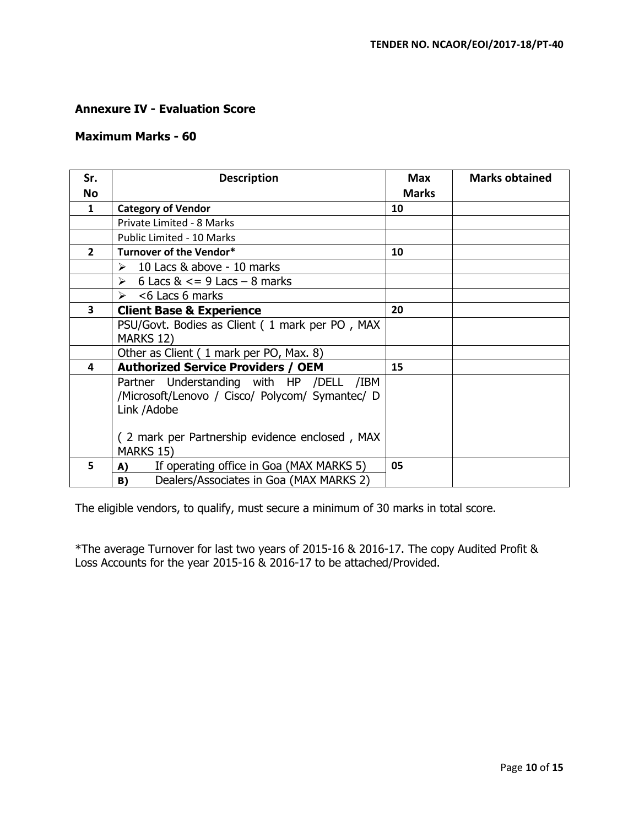## **Annexure IV - Evaluation Score**

## **Maximum Marks - 60**

| Sr.                     | <b>Description</b>                              | <b>Max</b>   | <b>Marks obtained</b> |
|-------------------------|-------------------------------------------------|--------------|-----------------------|
| <b>No</b>               |                                                 | <b>Marks</b> |                       |
| $\mathbf{1}$            | <b>Category of Vendor</b>                       | 10           |                       |
|                         | Private Limited - 8 Marks                       |              |                       |
|                         | <b>Public Limited - 10 Marks</b>                |              |                       |
| $\overline{2}$          | Turnover of the Vendor*                         | 10           |                       |
|                         | $\geq 10$ Lacs & above - 10 marks               |              |                       |
|                         | $\geq 6$ Lacs & $\lt$ = 9 Lacs - 8 marks        |              |                       |
|                         | $\geq$ <6 Lacs 6 marks                          |              |                       |
| $\overline{\mathbf{3}}$ | <b>Client Base &amp; Experience</b>             | 20           |                       |
|                         | PSU/Govt. Bodies as Client (1 mark per PO, MAX  |              |                       |
|                         | MARKS 12)                                       |              |                       |
|                         | Other as Client (1 mark per PO, Max. 8)         |              |                       |
| 4                       | <b>Authorized Service Providers / OEM</b>       | 15           |                       |
|                         | Partner Understanding with HP /DELL /IBM        |              |                       |
|                         | /Microsoft/Lenovo / Cisco/ Polycom/ Symantec/ D |              |                       |
|                         | Link / Adobe                                    |              |                       |
|                         |                                                 |              |                       |
|                         | (2 mark per Partnership evidence enclosed, MAX  |              |                       |
|                         | MARKS 15)                                       |              |                       |
| 5                       | If operating office in Goa (MAX MARKS 5)<br>A)  | 05           |                       |
|                         | Dealers/Associates in Goa (MAX MARKS 2)<br>B)   |              |                       |

The eligible vendors, to qualify, must secure a minimum of 30 marks in total score.

\*The average Turnover for last two years of 2015-16 & 2016-17. The copy Audited Profit & Loss Accounts for the year 2015-16 & 2016-17 to be attached/Provided.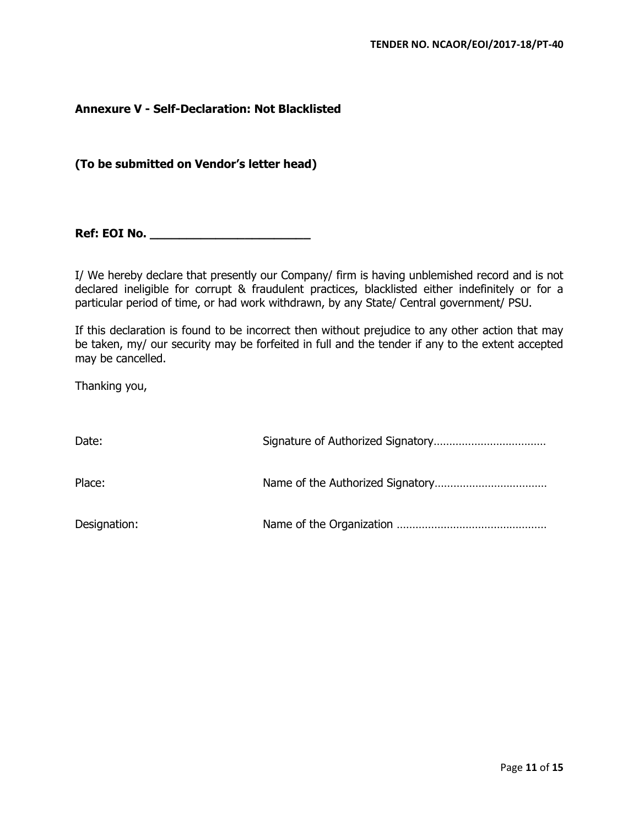### **Annexure V - Self-Declaration: Not Blacklisted**

**(To be submitted on Vendor's letter head)** 

**Ref: EOI No. \_\_\_\_\_\_\_\_\_\_\_\_\_\_\_\_\_\_\_\_\_\_** 

I/ We hereby declare that presently our Company/ firm is having unblemished record and is not declared ineligible for corrupt & fraudulent practices, blacklisted either indefinitely or for a particular period of time, or had work withdrawn, by any State/ Central government/ PSU.

If this declaration is found to be incorrect then without prejudice to any other action that may be taken, my/ our security may be forfeited in full and the tender if any to the extent accepted may be cancelled.

Thanking you,

| Date:        |  |
|--------------|--|
| Place:       |  |
| Designation: |  |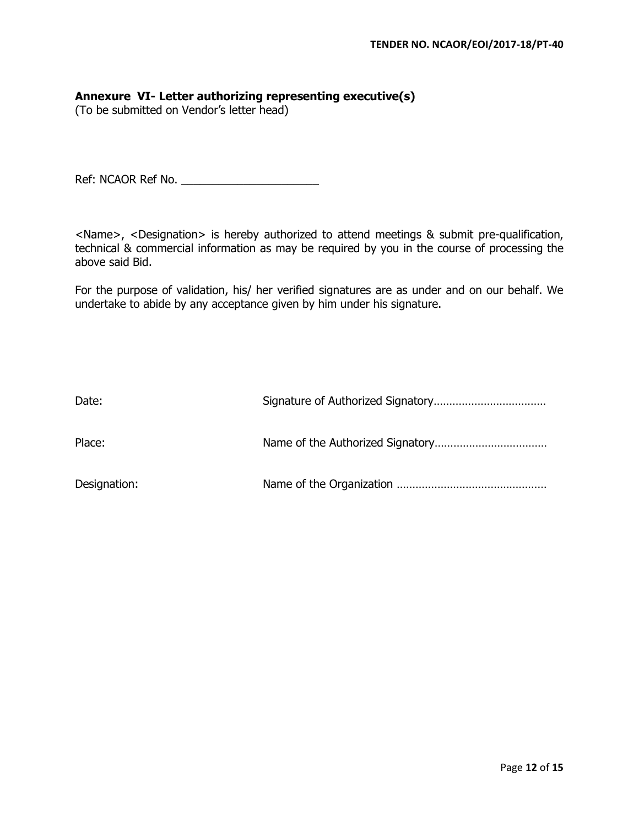### **Annexure VI- Letter authorizing representing executive(s)**

(To be submitted on Vendor's letter head)

Ref: NCAOR Ref No. \_\_\_\_\_\_\_\_\_\_\_\_\_\_\_\_\_\_\_\_\_\_

<Name>, <Designation> is hereby authorized to attend meetings & submit pre-qualification, technical & commercial information as may be required by you in the course of processing the above said Bid.

For the purpose of validation, his/ her verified signatures are as under and on our behalf. We undertake to abide by any acceptance given by him under his signature.

| Date:        |  |
|--------------|--|
| Place:       |  |
| Designation: |  |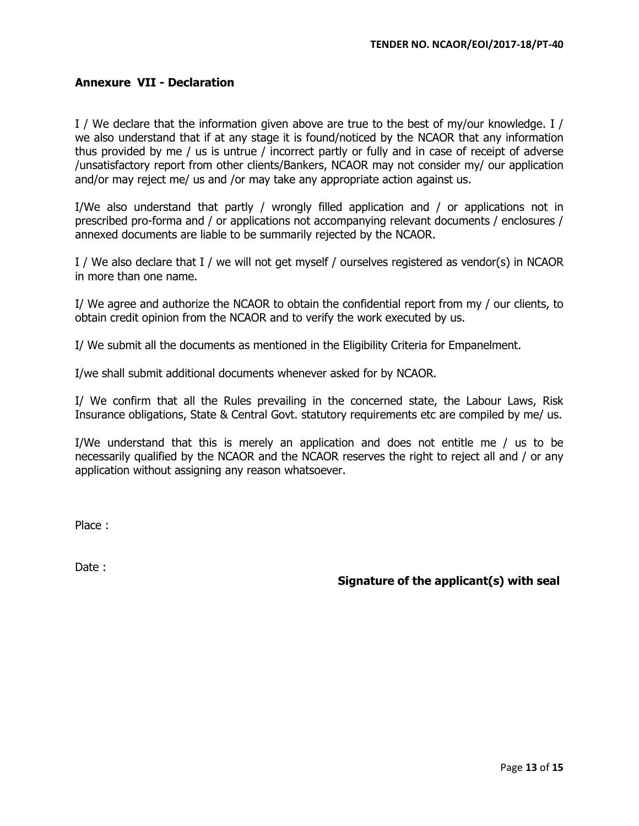## **Annexure VII - Declaration**

I / We declare that the information given above are true to the best of my/our knowledge. I / we also understand that if at any stage it is found/noticed by the NCAOR that any information thus provided by me / us is untrue / incorrect partly or fully and in case of receipt of adverse /unsatisfactory report from other clients/Bankers, NCAOR may not consider my/ our application and/or may reject me/ us and /or may take any appropriate action against us.

I/We also understand that partly / wrongly filled application and / or applications not in prescribed pro-forma and / or applications not accompanying relevant documents / enclosures / annexed documents are liable to be summarily rejected by the NCAOR.

I / We also declare that I / we will not get myself / ourselves registered as vendor(s) in NCAOR in more than one name.

I/ We agree and authorize the NCAOR to obtain the confidential report from my / our clients, to obtain credit opinion from the NCAOR and to verify the work executed by us.

I/ We submit all the documents as mentioned in the Eligibility Criteria for Empanelment.

I/we shall submit additional documents whenever asked for by NCAOR.

I/ We confirm that all the Rules prevailing in the concerned state, the Labour Laws, Risk Insurance obligations, State & Central Govt. statutory requirements etc are compiled by me/ us.

I/We understand that this is merely an application and does not entitle me / us to be necessarily qualified by the NCAOR and the NCAOR reserves the right to reject all and / or any application without assigning any reason whatsoever.

Place :

Date:

**Signature of the applicant(s) with seal**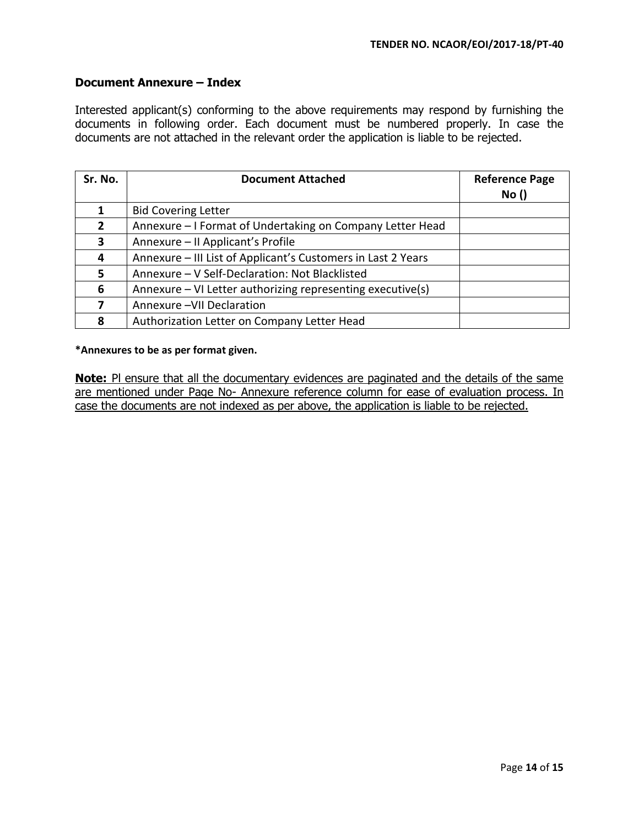## **Document Annexure – Index**

Interested applicant(s) conforming to the above requirements may respond by furnishing the documents in following order. Each document must be numbered properly. In case the documents are not attached in the relevant order the application is liable to be rejected.

| Sr. No.      | <b>Document Attached</b>                                     | <b>Reference Page</b><br>No() |
|--------------|--------------------------------------------------------------|-------------------------------|
|              | <b>Bid Covering Letter</b>                                   |                               |
| $\mathbf{2}$ | Annexure - I Format of Undertaking on Company Letter Head    |                               |
| 3            | Annexure - II Applicant's Profile                            |                               |
| 4            | Annexure - III List of Applicant's Customers in Last 2 Years |                               |
| 5            | Annexure - V Self-Declaration: Not Blacklisted               |                               |
| 6            | Annexure - VI Letter authorizing representing executive(s)   |                               |
|              | Annexure - VII Declaration                                   |                               |
| 8            | Authorization Letter on Company Letter Head                  |                               |

#### **\*Annexures to be as per format given.**

**Note:** PI ensure that all the documentary evidences are paginated and the details of the same are mentioned under Page No- Annexure reference column for ease of evaluation process. In case the documents are not indexed as per above, the application is liable to be rejected.